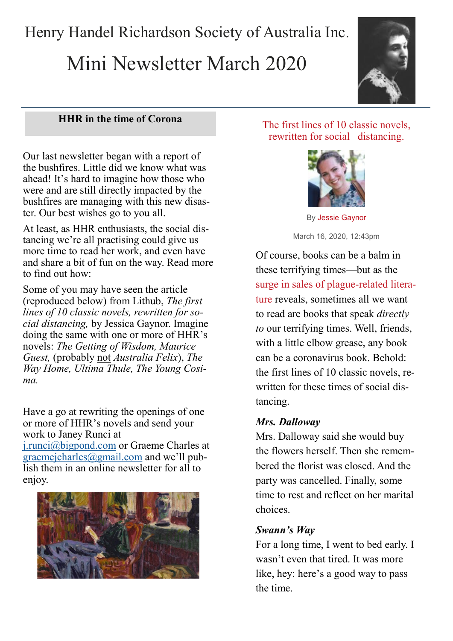Henry Handel Richardson Society of Australia Inc.

# Mini Newsletter March 2020



# **HHR in the time of Corona**

Our last newsletter began with a report of the bushfires. Little did we know what was ahead! It's hard to imagine how those who were and are still directly impacted by the bushfires are managing with this new disaster. Our best wishes go to you all.

At least, as HHR enthusiasts, the social distancing we're all practising could give us more time to read her work, and even have and share a bit of fun on the way. Read more to find out how:

Some of you may have seen the article (reproduced below) from Lithub, *The first lines of 10 classic novels, rewritten for social distancing,* by Jessica Gaynor. Imagine doing the same with one or more of HHR's novels: *The Getting of Wisdom, Maurice Guest,* (probably not *Australia Felix*), *The Way Home, Ultima Thule, The Young Cosima.* 

Have a go at rewriting the openings of one or more of HHR's novels and send your work to Janey Runci at

[j.runci@bigpond.com](mailto:j.runci@bigpond.com) or Graeme Charles at graemejcharles $\sqrt{\omega}$ gmail.com and we'll publish them in an online newsletter for all to enjoy.



## [The first lines of 10 classic novels,](https://lithub.com/the-first-lines-of-10-classic-novels-rewritten-for-social-distancing/)  [rewritten for social distancing.](https://lithub.com/the-first-lines-of-10-classic-novels-rewritten-for-social-distancing/)



By Jessie [Gaynor](https://lithub.com/author/jessiegaynor/) March 16, 2020, 12:43pm

Of course, books can be a balm in these terrifying times—but as the [surge in sales of plague](https://lithub.com/sales-of-plague-themed-literature-on-the-rise-in-italy-is-america-next/)-related litera[ture](https://lithub.com/sales-of-plague-themed-literature-on-the-rise-in-italy-is-america-next/) reveals, sometimes all we want to read are books that speak *directly to* our terrifying times. Well, friends, with a little elbow grease, any book can be a coronavirus book. Behold: the first lines of 10 classic novels, rewritten for these times of social distancing.

# *Mrs. Dalloway*

Mrs. Dalloway said she would buy the flowers herself. Then she remembered the florist was closed. And the party was cancelled. Finally, some time to rest and reflect on her marital choices.

## *Swann's Way*

For a long time, I went to bed early. I wasn't even that tired. It was more like, hey: here's a good way to pass the time.